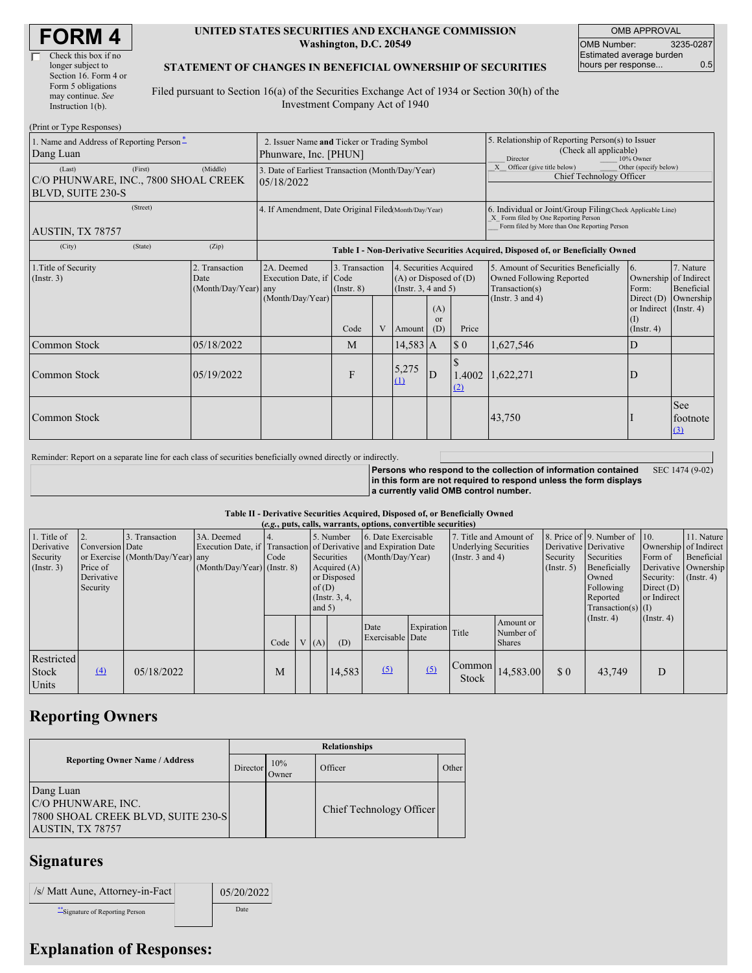| <b>FORM4</b> |  |
|--------------|--|
|--------------|--|

| Check this box if no  |
|-----------------------|
| longer subject to     |
| Section 16. Form 4 or |
| Form 5 obligations    |
| may continue. See     |
| Instruction 1(b).     |
|                       |

#### **UNITED STATES SECURITIES AND EXCHANGE COMMISSION Washington, D.C. 20549**

OMB APPROVAL OMB Number: 3235-0287 Estimated average burden hours per response... 0.5

#### **STATEMENT OF CHANGES IN BENEFICIAL OWNERSHIP OF SECURITIES**

Filed pursuant to Section 16(a) of the Securities Exchange Act of 1934 or Section 30(h) of the Investment Company Act of 1940

| (Print or Type Responses)                                                  |                                                                      |                                                      |                                                                                  |                                   |   |                                                                                  |                                                                                                     |                                                                                                                                                    |                                                                                                             |                                                                    |                               |  |  |
|----------------------------------------------------------------------------|----------------------------------------------------------------------|------------------------------------------------------|----------------------------------------------------------------------------------|-----------------------------------|---|----------------------------------------------------------------------------------|-----------------------------------------------------------------------------------------------------|----------------------------------------------------------------------------------------------------------------------------------------------------|-------------------------------------------------------------------------------------------------------------|--------------------------------------------------------------------|-------------------------------|--|--|
| 1. Name and Address of Reporting Person-<br>Dang Luan                      | 2. Issuer Name and Ticker or Trading Symbol<br>Phunware, Inc. [PHUN] |                                                      |                                                                                  |                                   |   |                                                                                  | 5. Relationship of Reporting Person(s) to Issuer<br>(Check all applicable)<br>Director<br>10% Owner |                                                                                                                                                    |                                                                                                             |                                                                    |                               |  |  |
| (Last)<br>C/O PHUNWARE, INC., 7800 SHOAL CREEK<br><b>BLVD, SUITE 230-S</b> | 3. Date of Earliest Transaction (Month/Day/Year)<br>05/18/2022       |                                                      |                                                                                  |                                   |   |                                                                                  | Other (specify below)<br>X Officer (give title below)<br>Chief Technology Officer                   |                                                                                                                                                    |                                                                                                             |                                                                    |                               |  |  |
| AUSTIN, TX 78757                                                           |                                                                      | 4. If Amendment, Date Original Filed Month/Day/Year) |                                                                                  |                                   |   |                                                                                  |                                                                                                     | 6. Individual or Joint/Group Filing Check Applicable Line)<br>X Form filed by One Reporting Person<br>Form filed by More than One Reporting Person |                                                                                                             |                                                                    |                               |  |  |
| (City)                                                                     | (State)                                                              | (Zip)                                                | Table I - Non-Derivative Securities Acquired, Disposed of, or Beneficially Owned |                                   |   |                                                                                  |                                                                                                     |                                                                                                                                                    |                                                                                                             |                                                                    |                               |  |  |
| 1. Title of Security<br>(Insert. 3)<br>Date                                |                                                                      | 2. Transaction<br>(Month/Day/Year) any               | 2A. Deemed<br>Execution Date, if Code                                            | 3. Transaction<br>$($ Instr. $8)$ |   | 4. Securities Acquired<br>$(A)$ or Disposed of $(D)$<br>(Instr. $3, 4$ and $5$ ) |                                                                                                     |                                                                                                                                                    | 5. Amount of Securities Beneficially<br>Owned Following Reported<br>Transaction(s)<br>(Instr. $3$ and $4$ ) | $\overline{6}$ .<br>Ownership of Indirect<br>Form:<br>Direct $(D)$ | 7. Nature<br>Beneficial       |  |  |
|                                                                            |                                                                      |                                                      | (Month/Day/Year)                                                                 | Code                              | V | Amount                                                                           | (A)<br>or<br>(D)                                                                                    | Price                                                                                                                                              |                                                                                                             | or Indirect (Instr. 4)<br>(1)<br>(Insert. 4)                       | Ownership                     |  |  |
| Common Stock                                                               |                                                                      | 05/18/2022                                           |                                                                                  | M                                 |   | $14,583$ A                                                                       |                                                                                                     | $\sqrt{3}0$                                                                                                                                        | 1,627,546                                                                                                   | D                                                                  |                               |  |  |
| Common Stock                                                               |                                                                      | 05/19/2022                                           |                                                                                  | F                                 |   | 5,275<br>(1)                                                                     | D                                                                                                   | (2)                                                                                                                                                | 1.4002 1,622,271<br>ID                                                                                      |                                                                    |                               |  |  |
| Common Stock                                                               |                                                                      |                                                      |                                                                                  |                                   |   |                                                                                  |                                                                                                     |                                                                                                                                                    | 43,750                                                                                                      |                                                                    | <b>See</b><br>footnote<br>(3) |  |  |

Reminder: Report on a separate line for each class of securities beneficially owned directly or indirectly.

**Persons who respond to the collection of information contained in this form are not required to respond unless the form displays a currently valid OMB control number.** SEC 1474 (9-02)

#### **Table II - Derivative Securities Acquired, Disposed of, or Beneficially Owned**

| (e.g., puts, calls, warrants, options, convertible securities) |                                                       |                                                 |                                           |                  |  |                  |        |                          |                  |                 |                                         |                                                  |                                          |                                                                                             |  |                                         |  |                                                                            |  |  |  |                                                    |                                                                                              |                                                                         |                                                                           |
|----------------------------------------------------------------|-------------------------------------------------------|-------------------------------------------------|-------------------------------------------|------------------|--|------------------|--------|--------------------------|------------------|-----------------|-----------------------------------------|--------------------------------------------------|------------------------------------------|---------------------------------------------------------------------------------------------|--|-----------------------------------------|--|----------------------------------------------------------------------------|--|--|--|----------------------------------------------------|----------------------------------------------------------------------------------------------|-------------------------------------------------------------------------|---------------------------------------------------------------------------|
| 1. Title of<br>Derivative<br>Security<br>(Insert. 3)           | Conversion Date<br>Price of<br>Derivative<br>Security | Transaction<br>or Exercise (Month/Day/Year) any | 3A. Deemed<br>(Month/Day/Year) (Instr. 8) | Code<br>of $(D)$ |  |                  |        |                          |                  |                 |                                         | Acquired $(A)$<br>or Disposed<br>(Instr. $3, 4,$ |                                          | 5. Number<br>Execution Date, if Transaction of Derivative and Expiration Date<br>Securities |  | 6. Date Exercisable<br>(Month/Day/Year) |  | 7. Title and Amount of<br><b>Underlying Securities</b><br>(Instr. 3 and 4) |  |  |  | Derivative Derivative<br>Security<br>$($ Instr. 5) | 8. Price of 9. Number of 10.<br>Securities<br>Beneficially<br>Owned<br>Following<br>Reported | Form of<br>Security: $(\text{Instr. 4})$<br>Direct $(D)$<br>or Indirect | 11. Nature<br>Ownership of Indirect<br>Beneficial<br>Derivative Ownership |
|                                                                |                                                       |                                                 |                                           | Code             |  | and $5)$<br>V(A) | (D)    | Date<br>Exercisable Date | Expiration Title |                 | Amount or<br>Number of<br><b>Shares</b> |                                                  | Transaction(s) $(I)$<br>$($ Instr. 4 $)$ | $($ Instr. 4 $)$                                                                            |  |                                         |  |                                                                            |  |  |  |                                                    |                                                                                              |                                                                         |                                                                           |
| Restricted<br><b>Stock</b><br>Units                            | (4)                                                   | 05/18/2022                                      |                                           | M                |  |                  | 14,583 | (5)                      | (5)              | Common<br>Stock | 14,583.00                               | \$0                                              | 43,749                                   | D                                                                                           |  |                                         |  |                                                                            |  |  |  |                                                    |                                                                                              |                                                                         |                                                                           |

### **Reporting Owners**

|                                                                                           |          |              | <b>Relationships</b>     |       |
|-------------------------------------------------------------------------------------------|----------|--------------|--------------------------|-------|
| <b>Reporting Owner Name / Address</b>                                                     | Director | 10%<br>Owner | Officer                  | Other |
| Dang Luan<br>C/O PHUNWARE, INC.<br>7800 SHOAL CREEK BLVD, SUITE 230-S<br>AUSTIN, TX 78757 |          |              | Chief Technology Officer |       |

## **Signatures**

| /s/ Matt Aune, Attorney-in-Fact  | 05/20/2022  |
|----------------------------------|-------------|
| ** Signature of Reporting Person | <b>Date</b> |

# **Explanation of Responses:**